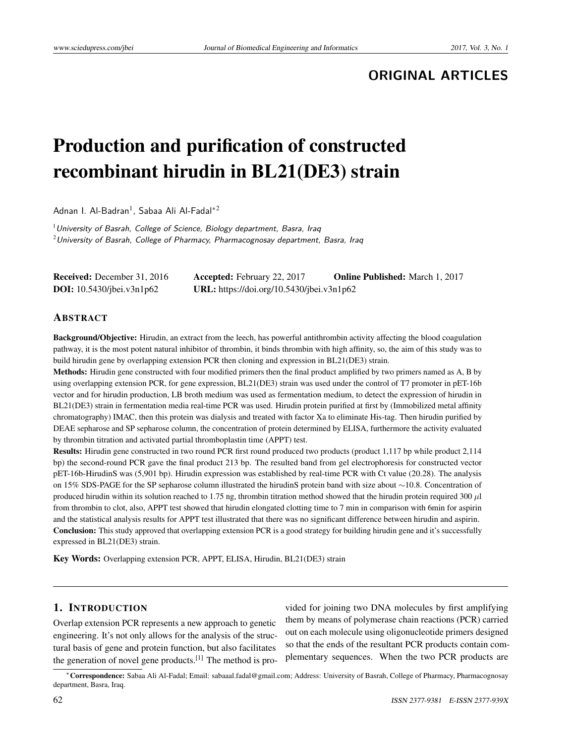## **ORIGINAL ARTICLES**

# Production and purification of constructed recombinant hirudin in BL21(DE3) strain

Adnan I. Al-Badran $^{\rm l}$ , Sabaa Ali Al-Fadal $^{\ast\,2}$ 

 $1$ University of Basrah, College of Science, Biology department, Basra, Iraq  $2$ University of Basrah, College of Pharmacy, Pharmacognosay department, Basra, Iraq

| <b>Received:</b> December 31, 2016 | <b>Accepted:</b> February 22, 2017        | <b>Online Published:</b> March 1, 2017 |
|------------------------------------|-------------------------------------------|----------------------------------------|
| <b>DOI:</b> 10.5430/jbei.v3n1p62   | URL: https://doi.org/10.5430/jbei.v3n1p62 |                                        |

### ABSTRACT

Background/Objective: Hirudin, an extract from the leech, has powerful antithrombin activity affecting the blood coagulation pathway, it is the most potent natural inhibitor of thrombin, it binds thrombin with high affinity, so, the aim of this study was to build hirudin gene by overlapping extension PCR then cloning and expression in BL21(DE3) strain.

Methods: Hirudin gene constructed with four modified primers then the final product amplified by two primers named as A, B by using overlapping extension PCR, for gene expression, BL21(DE3) strain was used under the control of T7 promoter in pET-16b vector and for hirudin production, LB broth medium was used as fermentation medium, to detect the expression of hirudin in BL21(DE3) strain in fermentation media real-time PCR was used. Hirudin protein purified at first by (Immobilized metal affinity chromatography) IMAC, then this protein was dialysis and treated with factor Xa to eliminate His-tag. Then hirudin purified by DEAE sepharose and SP sepharose column, the concentration of protein determined by ELISA, furthermore the activity evaluated by thrombin titration and activated partial thromboplastin time (APPT) test.

Results: Hirudin gene constructed in two round PCR first round produced two products (product 1,117 bp while product 2,114 bp) the second-round PCR gave the final product 213 bp. The resulted band from gel electrophoresis for constructed vector pET-16b-HirudinS was (5,901 bp). Hirudin expression was established by real-time PCR with Ct value (20.28). The analysis on 15% SDS-PAGE for the SP sepharose column illustrated the hirudinS protein band with size about ∼10.8. Concentration of produced hirudin within its solution reached to 1.75 ng, thrombin titration method showed that the hirudin protein required 300  $\mu$ l from thrombin to clot, also, APPT test showed that hirudin elongated clotting time to 7 min in comparison with 6min for aspirin and the statistical analysis results for APPT test illustrated that there was no significant difference between hirudin and aspirin. **Conclusion:** This study approved that overlapping extension PCR is a good strategy for building hirudin gene and it's successfully expressed in BL21(DE3) strain.

Key Words: Overlapping extension PCR, APPT, ELISA, Hirudin, BL21(DE3) strain

### 1. INTRODUCTION

Overlap extension PCR represents a new approach to genetic engineering. It's not only allows for the analysis of the structural basis of gene and protein function, but also facilitates the generation of novel gene products.<sup>[\[1\]](#page-7-0)</sup> The method is provided for joining two DNA molecules by first amplifying them by means of polymerase chain reactions (PCR) carried out on each molecule using oligonucleotide primers designed so that the ends of the resultant PCR products contain complementary sequences. When the two PCR products are

<sup>∗</sup>Correspondence: Sabaa Ali Al-Fadal; Email: sabaaal.fadal@gmail.com; Address: University of Basrah, College of Pharmacy, Pharmacognosay department, Basra, Iraq.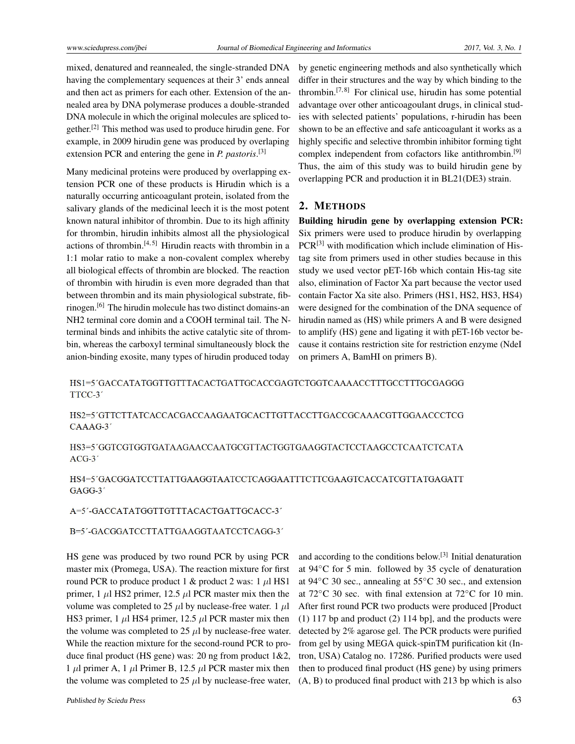mixed, denatured and reannealed, the single-stranded DNA having the complementary sequences at their 3' ends anneal and then act as primers for each other. Extension of the annealed area by DNA polymerase produces a double-stranded DNA molecule in which the original molecules are spliced together.[\[2\]](#page-7-1) This method was used to produce hirudin gene. For example, in 2009 hirudin gene was produced by overlaping extension PCR and entering the gene in *P. pastoris*. [\[3\]](#page-7-2)

Many medicinal proteins were produced by overlapping extension PCR one of these products is Hirudin which is a naturally occurring anticoagulant protein, isolated from the salivary glands of the medicinal leech it is the most potent known natural inhibitor of thrombin. Due to its high affinity for thrombin, hirudin inhibits almost all the physiological actions of thrombin.<sup>[\[4,](#page-7-3) [5\]](#page-7-4)</sup> Hirudin reacts with thrombin in a 1:1 molar ratio to make a non-covalent complex whereby all biological effects of thrombin are blocked. The reaction of thrombin with hirudin is even more degraded than that between thrombin and its main physiological substrate, fibrinogen.[\[6\]](#page-7-5) The hirudin molecule has two distinct domains-an NH2 terminal core domin and a COOH terminal tail. The Nterminal binds and inhibits the active catalytic site of thrombin, whereas the carboxyl terminal simultaneously block the anion-binding exosite, many types of hirudin produced today

by genetic engineering methods and also synthetically which differ in their structures and the way by which binding to the thrombin.<sup>[\[7,](#page-7-6)[8\]](#page-7-7)</sup> For clinical use, hirudin has some potential advantage over other anticoagoulant drugs, in clinical studies with selected patients' populations, r-hirudin has been shown to be an effective and safe anticoagulant it works as a highly specific and selective thrombin inhibitor forming tight complex independent from cofactors like antithrombin.[\[9\]](#page-7-8) Thus, the aim of this study was to build hirudin gene by overlapping PCR and production it in BL21(DE3) strain.

### 2. METHODS

Building hirudin gene by overlapping extension PCR: Six primers were used to produce hirudin by overlapping PCR[\[3\]](#page-7-2) with modification which include elimination of Histag site from primers used in other studies because in this study we used vector pET-16b which contain His-tag site also, elimination of Factor Xa part because the vector used contain Factor Xa site also. Primers (HS1, HS2, HS3, HS4) were designed for the combination of the DNA sequence of hirudin named as (HS) while primers A and B were designed to amplify (HS) gene and ligating it with pET-16b vector because it contains restriction site for restriction enzyme (NdeI on primers A, BamHI on primers B).

HS1=5'GACCATATGGTTGTTTACACTGATTGCACCGAGTCTGGTCAAAACCTTTGCCTTTGCGAGGG TTCC-3'

HS2=5'GTTCTTATCACCACGACCAAGAATGCACTTGTTACCTTGACCGCAAACGTTGGAACCCTCG  $CAAAG-3'$ 

HS3=5'GGTCGTGGTGATAAGAACCAATGCGTTACTGGTGAAGGTACTCCTAAGCCTCAATCTCATA  $ACG-3'$ 

HS4=5'GACGGATCCTTATTGAAGGTAATCCTCAGGAATTTCTTCGAAGTCACCATCGTTATGAGATT  $GAGG-3'$ 

A=5'-GACCATATGGTTGTTTACACTGATTGCACC-3'

B=5'-GACGGATCCTTATTGAAGGTAATCCTCAGG-3'

HS gene was produced by two round PCR by using PCR master mix (Promega, USA). The reaction mixture for first round PCR to produce product 1 & product 2 was: 1 *µ*l HS1 primer, 1 *µ*l HS2 primer, 12.5 *µ*l PCR master mix then the volume was completed to 25  $\mu$ l by nuclease-free water. 1  $\mu$ l HS3 primer, 1 *µ*l HS4 primer, 12.5 *µ*l PCR master mix then the volume was completed to  $25 \mu l$  by nuclease-free water. While the reaction mixture for the second-round PCR to produce final product (HS gene) was: 20 ng from product 1&2, 1  $\mu$ l primer A, 1  $\mu$ l Primer B, 12.5  $\mu$ l PCR master mix then the volume was completed to  $25 \mu l$  by nuclease-free water,

and according to the conditions below.<sup>[\[3\]](#page-7-2)</sup> Initial denaturation at 94◦C for 5 min. followed by 35 cycle of denaturation at 94◦C 30 sec., annealing at 55◦C 30 sec., and extension at 72◦C 30 sec. with final extension at 72◦C for 10 min. After first round PCR two products were produced [Product (1) 117 bp and product (2) 114 bp], and the products were detected by 2% agarose gel. The PCR products were purified from gel by using MEGA quick-spinTM purification kit (Intron, USA) Catalog no. 17286. Purified products were used then to produced final product (HS gene) by using primers (A, B) to produced final product with 213 bp which is also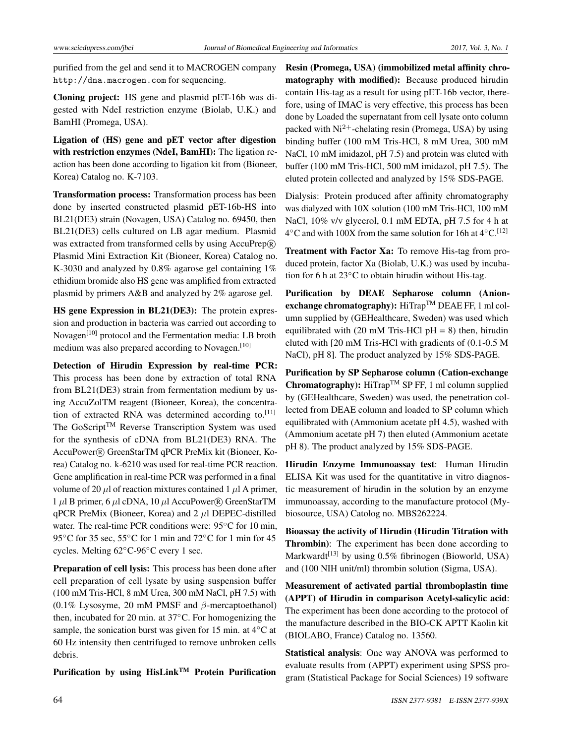purified from the gel and send it to MACROGEN company <http://dna.macrogen.com> for sequencing.

Cloning project: HS gene and plasmid pET-16b was digested with NdeI restriction enzyme (Biolab, U.K.) and BamHI (Promega, USA).

Ligation of (HS) gene and pET vector after digestion with restriction enzymes (NdeI, BamHI): The ligation reaction has been done according to ligation kit from (Bioneer, Korea) Catalog no. K-7103.

Transformation process: Transformation process has been done by inserted constructed plasmid pET-16b-HS into BL21(DE3) strain (Novagen, USA) Catalog no. 69450, then BL21(DE3) cells cultured on LB agar medium. Plasmid was extracted from transformed cells by using AccuPrep® Plasmid Mini Extraction Kit (Bioneer, Korea) Catalog no. K-3030 and analyzed by 0.8% agarose gel containing 1% ethidium bromide also HS gene was amplified from extracted plasmid by primers A&B and analyzed by 2% agarose gel.

HS gene Expression in BL21(DE3): The protein expression and production in bacteria was carried out according to Novagen[\[10\]](#page-7-9) protocol and the Fermentation media: LB broth medium was also prepared according to Novagen.[\[10\]](#page-7-9)

Detection of Hirudin Expression by real-time PCR: This process has been done by extraction of total RNA from BL21(DE3) strain from fermentation medium by using AccuZolTM reagent (Bioneer, Korea), the concentration of extracted RNA was determined according to. $[11]$ The GoScript™ Reverse Transcription System was used for the synthesis of cDNA from BL21(DE3) RNA. The AccuPower <sup>R</sup> GreenStarTM qPCR PreMix kit (Bioneer, Korea) Catalog no. k-6210 was used for real-time PCR reaction. Gene amplification in real-time PCR was performed in a final volume of 20  $\mu$ l of reaction mixtures contained 1  $\mu$ l A primer, 1 *µ*l B primer, 6 *µ*l cDNA, 10 *µ*l AccuPower <sup>R</sup> GreenStarTM qPCR PreMix (Bioneer, Korea) and 2 *µ*l DEPEC-distilled water. The real-time PCR conditions were: 95℃ for 10 min, 95°C for 35 sec, 55°C for 1 min and 72°C for 1 min for 45 cycles. Melting 62◦C-96◦C every 1 sec.

Preparation of cell lysis: This process has been done after cell preparation of cell lysate by using suspension buffer (100 mM Tris-HCl, 8 mM Urea, 300 mM NaCl, pH 7.5) with (0.1% Lysosyme, 20 mM PMSF and *β*-mercaptoethanol) then, incubated for 20 min. at 37◦C. For homogenizing the sample, the sonication burst was given for 15 min. at  $4°C$  at 60 Hz intensity then centrifuged to remove unbroken cells debris.

Purification by using  $HisLink^{TM}$  Protein Purification

Resin (Promega, USA) (immobilized metal affinity chromatography with modified): Because produced hirudin contain His-tag as a result for using pET-16b vector, therefore, using of IMAC is very effective, this process has been done by Loaded the supernatant from cell lysate onto column packed with  $Ni<sup>2+</sup>$ -chelating resin (Promega, USA) by using binding buffer (100 mM Tris-HCl, 8 mM Urea, 300 mM NaCl, 10 mM imidazol, pH 7.5) and protein was eluted with buffer (100 mM Tris-HCl, 500 mM imidazol, pH 7.5). The eluted protein collected and analyzed by 15% SDS-PAGE.

Dialysis: Protein produced after affinity chromatography was dialyzed with 10X solution (100 mM Tris-HCl, 100 mM NaCl, 10% v/v glycerol, 0.1 mM EDTA, pH 7.5 for 4 h at  $4 °C$  and with 100X from the same solution for 16h at  $4 °C$ . [\[12\]](#page-8-1)

Treatment with Factor Xa: To remove His-tag from produced protein, factor Xa (Biolab, U.K.) was used by incubation for 6 h at 23◦C to obtain hirudin without His-tag.

Purification by DEAE Sepharose column (Anionexchange chromatography): HiTrap™ DEAE FF, 1 ml column supplied by (GEHealthcare, Sweden) was used which equilibrated with (20 mM Tris-HCl  $pH = 8$ ) then, hirudin eluted with [20 mM Tris-HCl with gradients of (0.1-0.5 M NaCl), pH 8]. The product analyzed by 15% SDS-PAGE.

Purification by SP Sepharose column (Cation-exchange **Chromatography):** HiTrap<sup>TM</sup> SP FF, 1 ml column supplied by (GEHealthcare, Sweden) was used, the penetration collected from DEAE column and loaded to SP column which equilibrated with (Ammonium acetate pH 4.5), washed with (Ammonium acetate pH 7) then eluted (Ammonium acetate pH 8). The product analyzed by 15% SDS-PAGE.

Hirudin Enzyme Immunoassay test: Human Hirudin ELISA Kit was used for the quantitative in vitro diagnostic measurement of hirudin in the solution by an enzyme immunoassay, according to the manufacture protocol (Mybiosource, USA) Catolog no. MBS262224.

Bioassay the activity of Hirudin (Hirudin Titration with Thrombin): The experiment has been done according to Markwardt<sup>[\[13\]](#page-8-2)</sup> by using  $0.5\%$  fibrinogen (Bioworld, USA) and (100 NIH unit/ml) thrombin solution (Sigma, USA).

Measurement of activated partial thromboplastin time (APPT) of Hirudin in comparison Acetyl-salicylic acid: The experiment has been done according to the protocol of the manufacture described in the BIO-CK APTT Kaolin kit (BIOLABO, France) Catalog no. 13560.

Statistical analysis: One way ANOVA was performed to evaluate results from (APPT) experiment using SPSS program (Statistical Package for Social Sciences) 19 software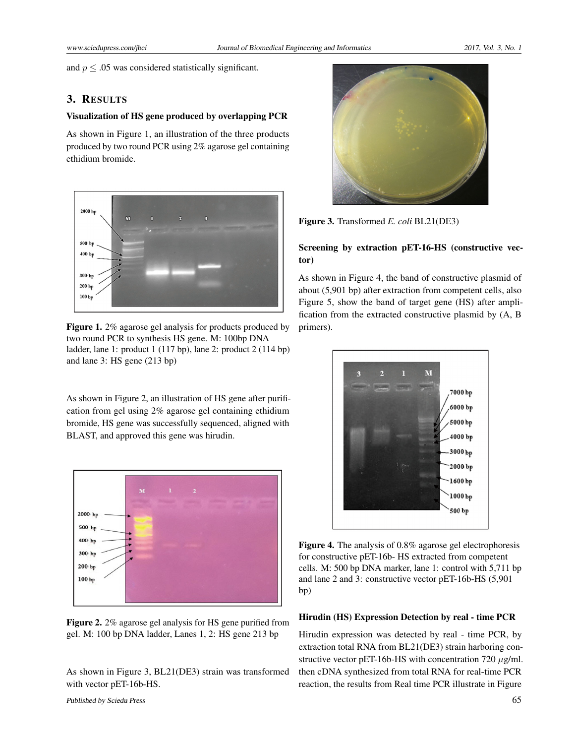and  $p \leq 0.05$  was considered statistically significant.

### 3. RESULTS

### Visualization of HS gene produced by overlapping PCR

As shown in Figure 1, an illustration of the three products produced by two round PCR using 2% agarose gel containing ethidium bromide.



Figure 1. 2% agarose gel analysis for products produced by two round PCR to synthesis HS gene. M: 100bp DNA ladder, lane 1: product 1 (117 bp), lane 2: product 2 (114 bp) and lane 3: HS gene (213 bp)

As shown in Figure 2, an illustration of HS gene after purification from gel using 2% agarose gel containing ethidium bromide, HS gene was successfully sequenced, aligned with BLAST, and approved this gene was hirudin.



Figure 2. 2% agarose gel analysis for HS gene purified from gel. M: 100 bp DNA ladder, Lanes 1, 2: HS gene 213 bp

As shown in Figure 3, BL21(DE3) strain was transformed with vector pET-16b-HS.



Figure 3. Transformed *E. coli* BL21(DE3)

### Screening by extraction pET-16-HS (constructive vector)

As shown in Figure 4, the band of constructive plasmid of about (5,901 bp) after extraction from competent cells, also Figure 5, show the band of target gene (HS) after amplification from the extracted constructive plasmid by (A, B primers).



Figure 4. The analysis of 0.8% agarose gel electrophoresis for constructive pET-16b- HS extracted from competent cells. M: 500 bp DNA marker, lane 1: control with 5,711 bp and lane 2 and 3: constructive vector pET-16b-HS (5,901 bp)

### Hirudin (HS) Expression Detection by real - time PCR

Hirudin expression was detected by real - time PCR, by extraction total RNA from BL21(DE3) strain harboring constructive vector pET-16b-HS with concentration 720 *µ*g/ml. then cDNA synthesized from total RNA for real-time PCR reaction, the results from Real time PCR illustrate in Figure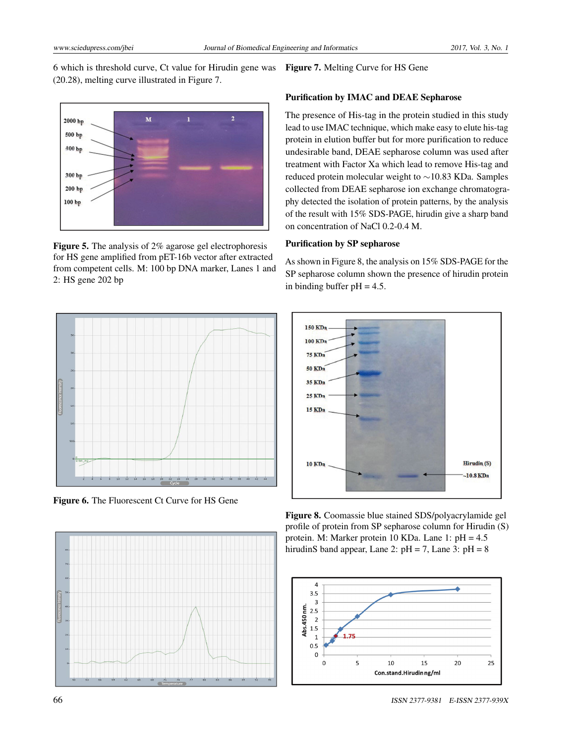6 which is threshold curve, Ct value for Hirudin gene was (20.28), melting curve illustrated in Figure 7. Figure 7. Melting Curve for HS Gene



Figure 5. The analysis of 2% agarose gel electrophoresis for HS gene amplified from pET-16b vector after extracted from competent cells. M: 100 bp DNA marker, Lanes 1 and 2: HS gene 202 bp



Figure 6. The Fluorescent Ct Curve for HS Gene



### Purification by IMAC and DEAE Sepharose

The presence of His-tag in the protein studied in this study lead to use IMAC technique, which make easy to elute his-tag protein in elution buffer but for more purification to reduce undesirable band, DEAE sepharose column was used after treatment with Factor Xa which lead to remove His-tag and reduced protein molecular weight to ∼10.83 KDa. Samples collected from DEAE sepharose ion exchange chromatography detected the isolation of protein patterns, by the analysis of the result with 15% SDS-PAGE, hirudin give a sharp band on concentration of NaCl 0.2-0.4 M.

### Purification by SP sepharose

As shown in Figure 8, the analysis on 15% SDS-PAGE for the SP sepharose column shown the presence of hirudin protein in binding buffer  $pH = 4.5$ .



Figure 8. Coomassie blue stained SDS/polyacrylamide gel profile of protein from SP sepharose column for Hirudin (S) protein. M: Marker protein 10 KDa. Lane 1: pH = 4.5 hirudinS band appear, Lane 2:  $pH = 7$ , Lane 3:  $pH = 8$ 

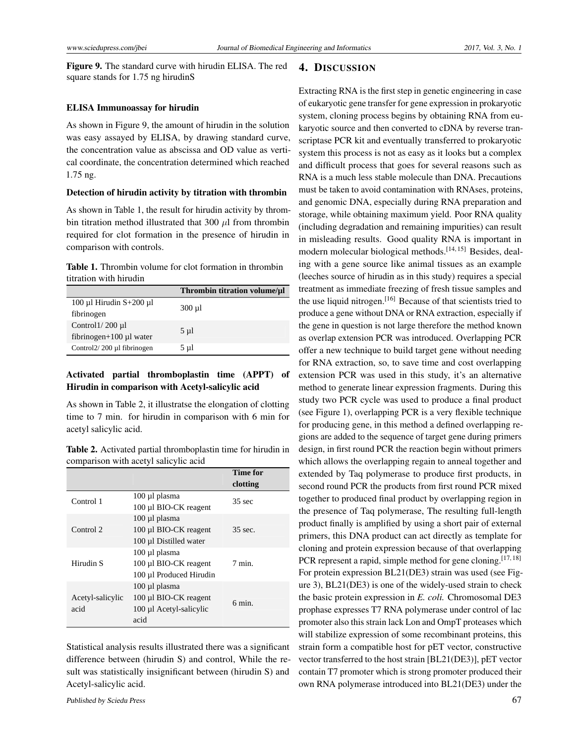Figure 9. The standard curve with hirudin ELISA. The red square stands for 1.75 ng hirudinS

### ELISA Immunoassay for hirudin

As shown in Figure 9, the amount of hirudin in the solution was easy assayed by ELISA, by drawing standard curve, the concentration value as abscissa and OD value as vertical coordinate, the concentration determined which reached 1.75 ng.

### Detection of hirudin activity by titration with thrombin

As shown in Table 1, the result for hirudin activity by thrombin titration method illustrated that 300 *µ*l from thrombin required for clot formation in the presence of hirudin in comparison with controls.

Table 1. Thrombin volume for clot formation in thrombin titration with hirudin

|                               | Thrombin titration volume/µl |  |
|-------------------------------|------------------------------|--|
| 100 µl Hirudin $S+200$ µl     | $300 \mu l$                  |  |
| fibrinogen                    |                              |  |
| Control $1/200 \mu l$         |                              |  |
| fibrinogen $+100 \mu l$ water | $5 \mu l$                    |  |
| Control2/200 µl fibrinogen    | $5 \mu l$                    |  |

### Activated partial thromboplastin time (APPT) of Hirudin in comparison with Acetyl-salicylic acid

As shown in Table 2, it illustratse the elongation of clotting time to 7 min. for hirudin in comparison with 6 min for acetyl salicylic acid.

Table 2. Activated partial thromboplastin time for hirudin in comparison with acetyl salicylic acid

|                          |                                                                           | <b>Time for</b><br>clotting |
|--------------------------|---------------------------------------------------------------------------|-----------------------------|
| Control 1                | 100 µl plasma<br>100 µl BIO-CK reagent                                    | $35 \text{ sec}$            |
| Control 2                | 100 µl plasma<br>100 µ1 BIO-CK reagent<br>100 µl Distilled water          | 35 sec.                     |
| Hirudin S                | 100 µl plasma<br>100 µl BIO-CK reagent<br>100 µl Produced Hirudin         | $7 \text{ min.}$            |
| Acetyl-salicylic<br>acid | 100 µl plasma<br>100 µ1 BIO-CK reagent<br>100 µ1 Acetyl-salicylic<br>acid | $6 \text{ min}$ .           |

Statistical analysis results illustrated there was a significant difference between (hirudin S) and control, While the result was statistically insignificant between (hirudin S) and Acetyl-salicylic acid.

### 4. DISCUSSION

Extracting RNA is the first step in genetic engineering in case of eukaryotic gene transfer for gene expression in prokaryotic system, cloning process begins by obtaining RNA from eukaryotic source and then converted to cDNA by reverse transcriptase PCR kit and eventually transferred to prokaryotic system this process is not as easy as it looks but a complex and difficult process that goes for several reasons such as RNA is a much less stable molecule than DNA. Precautions must be taken to avoid contamination with RNAses, proteins, and genomic DNA, especially during RNA preparation and storage, while obtaining maximum yield. Poor RNA quality (including degradation and remaining impurities) can result in misleading results. Good quality RNA is important in modern molecular biological methods.<sup>[\[14,](#page-8-3) [15\]](#page-8-4)</sup> Besides, dealing with a gene source like animal tissues as an example (leeches source of hirudin as in this study) requires a special treatment as immediate freezing of fresh tissue samples and the use liquid nitrogen.[\[16\]](#page-8-5) Because of that scientists tried to produce a gene without DNA or RNA extraction, especially if the gene in question is not large therefore the method known as overlap extension PCR was introduced. Overlapping PCR offer a new technique to build target gene without needing for RNA extraction, so, to save time and cost overlapping extension PCR was used in this study, it's an alternative method to generate linear expression fragments. During this study two PCR cycle was used to produce a final product (see Figure 1), overlapping PCR is a very flexible technique for producing gene, in this method a defined overlapping regions are added to the sequence of target gene during primers design, in first round PCR the reaction begin without primers which allows the overlapping regain to anneal together and extended by Taq polymerase to produce first products, in second round PCR the products from first round PCR mixed together to produced final product by overlapping region in the presence of Taq polymerase, The resulting full-length product finally is amplified by using a short pair of external primers, this DNA product can act directly as template for cloning and protein expression because of that overlapping PCR represent a rapid, simple method for gene cloning.<sup>[\[17,](#page-8-6) [18\]](#page-8-7)</sup> For protein expression BL21(DE3) strain was used (see Figure 3), BL21(DE3) is one of the widely-used strain to check the basic protein expression in *E. coli.* Chromosomal DE3 prophase expresses T7 RNA polymerase under control of lac promoter also this strain lack Lon and OmpT proteases which will stabilize expression of some recombinant proteins, this strain form a compatible host for pET vector, constructive vector transferred to the host strain [BL21(DE3)], pET vector contain T7 promoter which is strong promoter produced their own RNA polymerase introduced into BL21(DE3) under the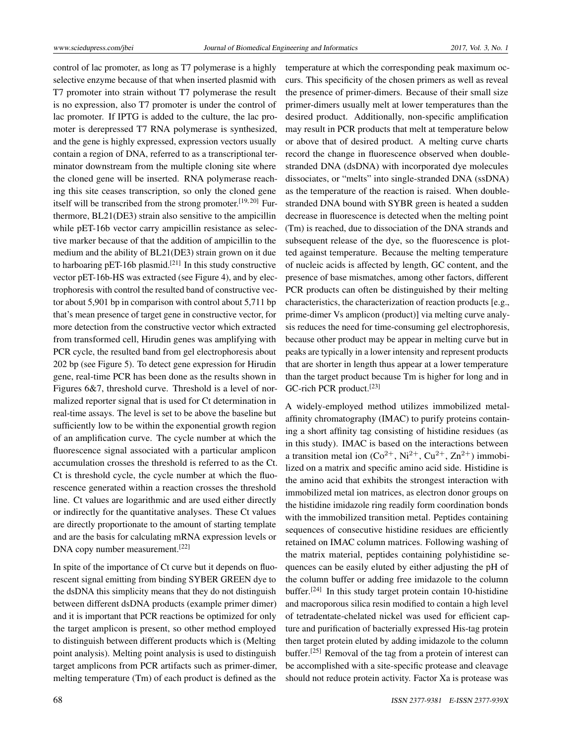control of lac promoter, as long as T7 polymerase is a highly selective enzyme because of that when inserted plasmid with T7 promoter into strain without T7 polymerase the result is no expression, also T7 promoter is under the control of lac promoter. If IPTG is added to the culture, the lac promoter is derepressed T7 RNA polymerase is synthesized, and the gene is highly expressed, expression vectors usually contain a region of DNA, referred to as a transcriptional terminator downstream from the multiple cloning site where the cloned gene will be inserted. RNA polymerase reaching this site ceases transcription, so only the cloned gene itself will be transcribed from the strong promoter.<sup>[\[19,](#page-8-8) [20\]](#page-8-9)</sup> Furthermore, BL21(DE3) strain also sensitive to the ampicillin while pET-16b vector carry ampicillin resistance as selective marker because of that the addition of ampicillin to the medium and the ability of BL21(DE3) strain grown on it due to harboaring  $pET-16b$  plasmid.<sup>[\[21\]](#page-8-10)</sup> In this study constructive vector pET-16b-HS was extracted (see Figure 4), and by electrophoresis with control the resulted band of constructive vector about 5,901 bp in comparison with control about 5,711 bp that's mean presence of target gene in constructive vector, for more detection from the constructive vector which extracted from transformed cell, Hirudin genes was amplifying with PCR cycle, the resulted band from gel electrophoresis about 202 bp (see Figure 5). To detect gene expression for Hirudin gene, real-time PCR has been done as the results shown in Figures 6&7, threshold curve. Threshold is a level of normalized reporter signal that is used for Ct determination in real-time assays. The level is set to be above the baseline but sufficiently low to be within the exponential growth region of an amplification curve. The cycle number at which the fluorescence signal associated with a particular amplicon accumulation crosses the threshold is referred to as the Ct. Ct is threshold cycle, the cycle number at which the fluorescence generated within a reaction crosses the threshold line. Ct values are logarithmic and are used either directly or indirectly for the quantitative analyses. These Ct values are directly proportionate to the amount of starting template and are the basis for calculating mRNA expression levels or DNA copy number measurement.[\[22\]](#page-8-11)

In spite of the importance of Ct curve but it depends on fluorescent signal emitting from binding SYBER GREEN dye to the dsDNA this simplicity means that they do not distinguish between different dsDNA products (example primer dimer) and it is important that PCR reactions be optimized for only the target amplicon is present, so other method employed to distinguish between different products which is (Melting point analysis). Melting point analysis is used to distinguish target amplicons from PCR artifacts such as primer-dimer, melting temperature (Tm) of each product is defined as the

temperature at which the corresponding peak maximum occurs. This specificity of the chosen primers as well as reveal the presence of primer-dimers. Because of their small size primer-dimers usually melt at lower temperatures than the desired product. Additionally, non-specific amplification may result in PCR products that melt at temperature below or above that of desired product. A melting curve charts record the change in fluorescence observed when doublestranded DNA (dsDNA) with incorporated dye molecules dissociates, or "melts" into single-stranded DNA (ssDNA) as the temperature of the reaction is raised. When doublestranded DNA bound with SYBR green is heated a sudden decrease in fluorescence is detected when the melting point (Tm) is reached, due to dissociation of the DNA strands and subsequent release of the dye, so the fluorescence is plotted against temperature. Because the melting temperature of nucleic acids is affected by length, GC content, and the presence of base mismatches, among other factors, different PCR products can often be distinguished by their melting characteristics, the characterization of reaction products [e.g., prime-dimer Vs amplicon (product)] via melting curve analysis reduces the need for time-consuming gel electrophoresis, because other product may be appear in melting curve but in peaks are typically in a lower intensity and represent products that are shorter in length thus appear at a lower temperature than the target product because Tm is higher for long and in GC-rich PCR product.[\[23\]](#page-8-12)

A widely-employed method utilizes immobilized metalaffinity chromatography (IMAC) to purify proteins containing a short affinity tag consisting of histidine residues (as in this study). IMAC is based on the interactions between a transition metal ion  $(Co^{2+}, Ni^{2+}, Cu^{2+}, Zn^{2+})$  immobilized on a matrix and specific amino acid side. Histidine is the amino acid that exhibits the strongest interaction with immobilized metal ion matrices, as electron donor groups on the histidine imidazole ring readily form coordination bonds with the immobilized transition metal. Peptides containing sequences of consecutive histidine residues are efficiently retained on IMAC column matrices. Following washing of the matrix material, peptides containing polyhistidine sequences can be easily eluted by either adjusting the pH of the column buffer or adding free imidazole to the column buffer.<sup>[\[24\]](#page-8-13)</sup> In this study target protein contain 10-histidine and macroporous silica resin modified to contain a high level of tetradentate-chelated nickel was used for efficient capture and purification of bacterially expressed His-tag protein then target protein eluted by adding imidazole to the column buffer.<sup>[\[25\]](#page-8-14)</sup> Removal of the tag from a protein of interest can be accomplished with a site-specific protease and cleavage should not reduce protein activity. Factor Xa is protease was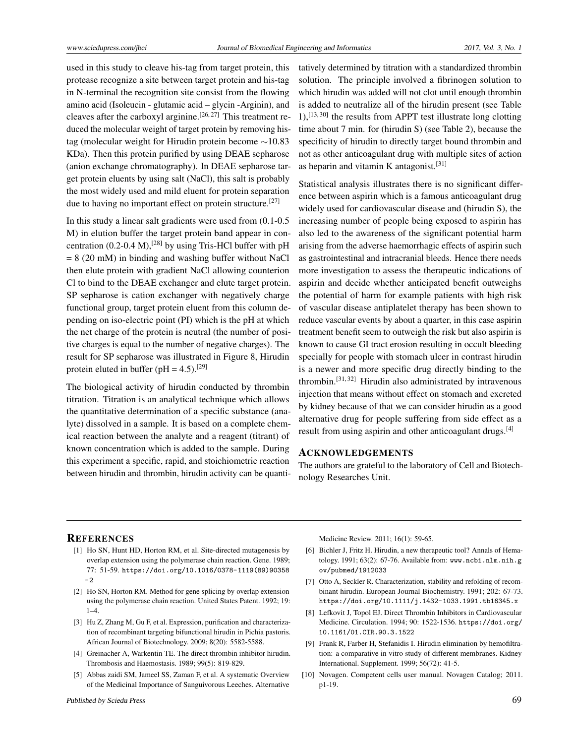used in this study to cleave his-tag from target protein, this protease recognize a site between target protein and his-tag in N-terminal the recognition site consist from the flowing amino acid (Isoleucin - glutamic acid – glycin -Arginin), and cleaves after the carboxyl arginine.<sup>[\[26,](#page-8-15) [27\]](#page-8-16)</sup> This treatment reduced the molecular weight of target protein by removing histag (molecular weight for Hirudin protein become ∼10.83 KDa). Then this protein purified by using DEAE sepharose (anion exchange chromatography). In DEAE sepharose target protein eluents by using salt (NaCl), this salt is probably the most widely used and mild eluent for protein separation due to having no important effect on protein structure.<sup>[\[27\]](#page-8-16)</sup>

In this study a linear salt gradients were used from (0.1-0.5 M) in elution buffer the target protein band appear in concentration  $(0.2-0.4 \text{ M})$ ,<sup>[\[28\]](#page-8-17)</sup> by using Tris-HCl buffer with pH  $= 8$  (20 mM) in binding and washing buffer without NaCl then elute protein with gradient NaCl allowing counterion Cl to bind to the DEAE exchanger and elute target protein. SP sepharose is cation exchanger with negatively charge functional group, target protein eluent from this column depending on iso-electric point (PI) which is the pH at which the net charge of the protein is neutral (the number of positive charges is equal to the number of negative charges). The result for SP sepharose was illustrated in Figure 8, Hirudin protein eluted in buffer (pH =  $4.5$ ).<sup>[\[29\]](#page-8-18)</sup>

The biological activity of hirudin conducted by thrombin titration. Titration is an analytical technique which allows the quantitative determination of a specific substance (analyte) dissolved in a sample. It is based on a complete chemical reaction between the analyte and a reagent (titrant) of known concentration which is added to the sample. During this experiment a specific, rapid, and stoichiometric reaction between hirudin and thrombin, hirudin activity can be quantitatively determined by titration with a standardized thrombin solution. The principle involved a fibrinogen solution to which hirudin was added will not clot until enough thrombin is added to neutralize all of the hirudin present (see Table  $1$ ,<sup>[\[13,](#page-8-2)[30\]](#page-8-19)</sup> the results from APPT test illustrate long clotting time about 7 min. for (hirudin S) (see Table 2), because the specificity of hirudin to directly target bound thrombin and not as other anticoagulant drug with multiple sites of action as heparin and vitamin K antagonist.<sup>[\[31\]](#page-8-20)</sup>

Statistical analysis illustrates there is no significant difference between aspirin which is a famous anticoagulant drug widely used for cardiovascular disease and (hirudin S), the increasing number of people being exposed to aspirin has also led to the awareness of the significant potential harm arising from the adverse haemorrhagic effects of aspirin such as gastrointestinal and intracranial bleeds. Hence there needs more investigation to assess the therapeutic indications of aspirin and decide whether anticipated benefit outweighs the potential of harm for example patients with high risk of vascular disease antiplatelet therapy has been shown to reduce vascular events by about a quarter, in this case aspirin treatment benefit seem to outweigh the risk but also aspirin is known to cause GI tract erosion resulting in occult bleeding specially for people with stomach ulcer in contrast hirudin is a newer and more specific drug directly binding to the thrombin.<sup>[\[31,](#page-8-20)[32\]](#page-8-21)</sup> Hirudin also administrated by intravenous injection that means without effect on stomach and excreted by kidney because of that we can consider hirudin as a good alternative drug for people suffering from side effect as a result from using aspirin and other anticoagulant drugs.<sup>[\[4\]](#page-7-3)</sup>

### ACKNOWLEDGEMENTS

The authors are grateful to the laboratory of Cell and Biotechnology Researches Unit.

### **REFERENCES**

- <span id="page-7-0"></span>[1] Ho SN, Hunt HD, Horton RM, et al. Site-directed mutagenesis by overlap extension using the polymerase chain reaction. Gene. 1989; 77: 51-59. [https://doi.org/10.1016/0378-1119\(89\)90358](https://doi.org/10.1016/0378-1119(89)90358-2)  $-2$
- <span id="page-7-1"></span>[2] Ho SN, Horton RM. Method for gene splicing by overlap extension using the polymerase chain reaction. United States Patent. 1992; 19: 1–4.
- <span id="page-7-2"></span>[3] Hu Z, Zhang M, Gu F, et al. Expression, purification and characterization of recombinant targeting bifunctional hirudin in Pichia pastoris. African Journal of Biotechnology. 2009; 8(20): 5582-5588.
- <span id="page-7-3"></span>[4] Greinacher A, Warkentin TE. The direct thrombin inhibitor hirudin. Thrombosis and Haemostasis. 1989; 99(5): 819-829.
- <span id="page-7-4"></span>[5] Abbas zaidi SM, Jameel SS, Zaman F, et al. A systematic Overview of the Medicinal Importance of Sanguivorous Leeches. Alternative

Medicine Review. 2011; 16(1): 59-65.

- <span id="page-7-5"></span>[6] Bichler J, Fritz H. Hirudin, a new therapeutic tool? Annals of Hematology. 1991; 63(2): 67-76. Available from: [www.ncbi.nlm.nih.g](www. ncbi.nlm.nih.gov/pubmed/1912033) [ov/pubmed/1912033](www. ncbi.nlm.nih.gov/pubmed/1912033)
- <span id="page-7-6"></span>[7] Otto A, Seckler R. Characterization, stability and refolding of recombinant hirudin. European Journal Biochemistry. 1991; 202: 67-73. <https://doi.org/10.1111/j.1432-1033.1991.tb16345.x>
- <span id="page-7-7"></span>[8] Lefkovit J, Topol EJ. Direct Thrombin Inhibitors in Cardiovascular Medicine. Circulation. 1994; 90: 1522-1536. [https://doi.org/](https://doi.org/10.1161/01.CIR.90.3.1522) [10.1161/01.CIR.90.3.1522](https://doi.org/10.1161/01.CIR.90.3.1522)
- <span id="page-7-8"></span>[9] Frank R, Farber H, Stefanidis I. Hirudin elimination by hemofiltration: a comparative in vitro study of different membranes. Kidney International. Supplement. 1999; 56(72): 41-5.
- <span id="page-7-9"></span>[10] Novagen. Competent cells user manual. Novagen Catalog; 2011. p1-19.